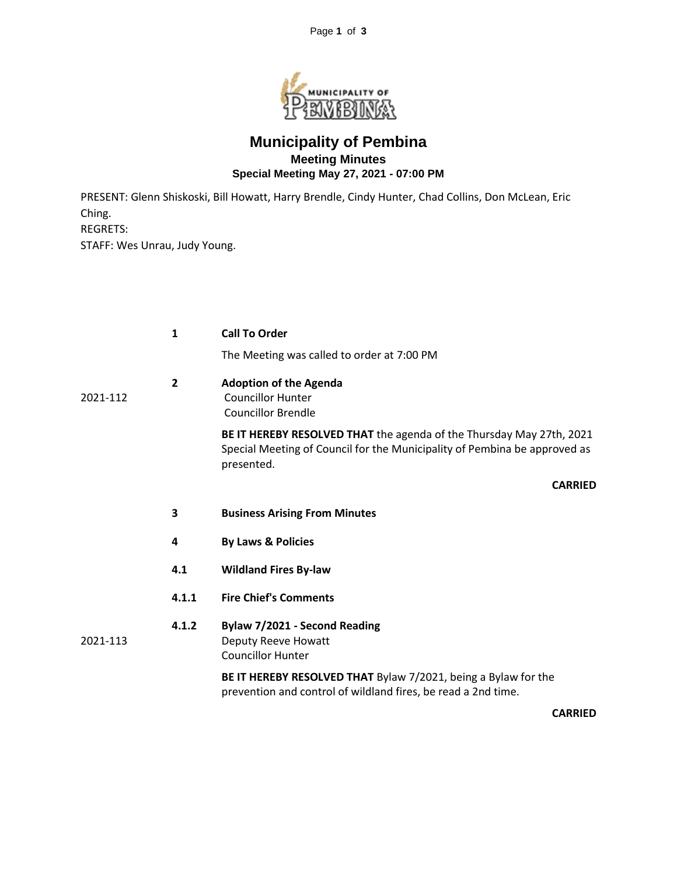

## **Municipality of Pembina Meeting Minutes Special Meeting May 27, 2021 - 07:00 PM**

PRESENT: Glenn Shiskoski, Bill Howatt, Harry Brendle, Cindy Hunter, Chad Collins, Don McLean, Eric Ching. REGRETS: STAFF: Wes Unrau, Judy Young.

|          | $\mathbf{1}$   | <b>Call To Order</b>                                                                                                                                            |
|----------|----------------|-----------------------------------------------------------------------------------------------------------------------------------------------------------------|
|          |                | The Meeting was called to order at 7:00 PM                                                                                                                      |
| 2021-112 | $\overline{2}$ | <b>Adoption of the Agenda</b><br><b>Councillor Hunter</b><br><b>Councillor Brendle</b>                                                                          |
|          |                | BE IT HEREBY RESOLVED THAT the agenda of the Thursday May 27th, 2021<br>Special Meeting of Council for the Municipality of Pembina be approved as<br>presented. |
|          |                | <b>CARRIED</b>                                                                                                                                                  |
|          | 3              | <b>Business Arising From Minutes</b>                                                                                                                            |
|          | 4              | <b>By Laws &amp; Policies</b>                                                                                                                                   |
|          | 4.1            | <b>Wildland Fires By-law</b>                                                                                                                                    |
|          | 4.1.1          | <b>Fire Chief's Comments</b>                                                                                                                                    |
| 2021-113 | 4.1.2          | Bylaw 7/2021 - Second Reading<br>Deputy Reeve Howatt<br><b>Councillor Hunter</b>                                                                                |
|          |                | BE IT HEREBY RESOLVED THAT Bylaw 7/2021, being a Bylaw for the<br>prevention and control of wildland fires, be read a 2nd time.                                 |
|          |                |                                                                                                                                                                 |

**CARRIED**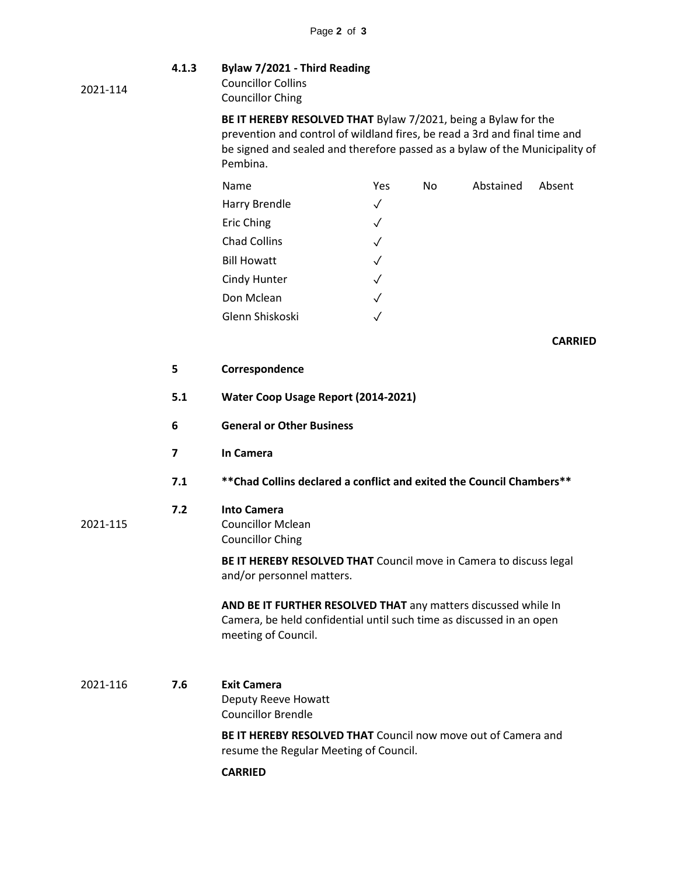2021-114

2021-115

## **4.1.3 Bylaw 7/2021 - Third Reading** Councillor Collins

Councillor Ching

**BE IT HEREBY RESOLVED THAT** Bylaw 7/2021, being a Bylaw for the prevention and control of wildland fires, be read a 3rd and final time and be signed and sealed and therefore passed as a bylaw of the Municipality of Pembina.

| Name                | Yes          | No | Abstained | Absent |
|---------------------|--------------|----|-----------|--------|
| Harry Brendle       | $\checkmark$ |    |           |        |
| <b>Eric Ching</b>   | $\checkmark$ |    |           |        |
| <b>Chad Collins</b> | $\sqrt{}$    |    |           |        |
| <b>Bill Howatt</b>  | $\sqrt{ }$   |    |           |        |
| Cindy Hunter        | $\checkmark$ |    |           |        |
| Don Mclean          | $\checkmark$ |    |           |        |
| Glenn Shiskoski     |              |    |           |        |

**CARRIED**

- **5 Correspondence**
- **5.1 Water Coop Usage Report (2014-2021)**
- **6 General or Other Business**
- **7 In Camera**
- **7.1 \*\*Chad Collins declared a conflict and exited the Council Chambers\*\***

## **7.2 Into Camera**

Councillor Mclean Councillor Ching

**BE IT HEREBY RESOLVED THAT** Council move in Camera to discuss legal and/or personnel matters.

**AND BE IT FURTHER RESOLVED THAT** any matters discussed while In Camera, be held confidential until such time as discussed in an open meeting of Council.

2021-116 **7.6 Exit Camera** Deputy Reeve Howatt Councillor Brendle

> **BE IT HEREBY RESOLVED THAT** Council now move out of Camera and resume the Regular Meeting of Council.

**CARRIED**